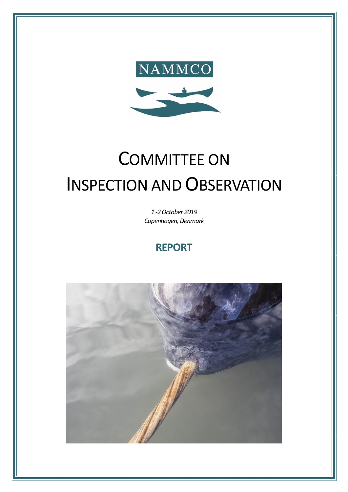

# COMMITTEE ON INSPECTION AND OBSERVATION

*1 -2October 2019 Copenhagen, Denmark*

## **REPORT**

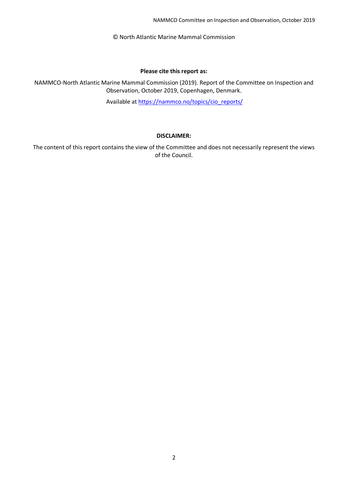NAMMCO Committee on Inspection and Observation, October 2019

© North Atlantic Marine Mammal Commission

#### **Please cite this report as:**

NAMMCO-North Atlantic Marine Mammal Commission (2019). Report of the Committee on Inspection and Observation, October 2019, Copenhagen, Denmark.

Available at [https://nammco.no/topics/cio\\_reports/](https://nammco.no/topics/cio_reports/)

#### **DISCLAIMER:**

The content of this report contains the view of the Committee and does not necessarily represent the views of the Council.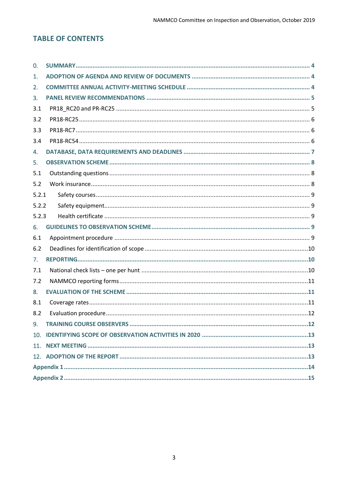## **TABLE OF CONTENTS**

| 0.    |      |  |  |  |  |
|-------|------|--|--|--|--|
| 1.    |      |  |  |  |  |
| 2.    |      |  |  |  |  |
| 3.    |      |  |  |  |  |
| 3.1   |      |  |  |  |  |
| 3.2   |      |  |  |  |  |
| 3.3   |      |  |  |  |  |
| 3.4   |      |  |  |  |  |
| 4.    |      |  |  |  |  |
| 5.    |      |  |  |  |  |
| 5.1   |      |  |  |  |  |
| 5.2   |      |  |  |  |  |
| 5.2.1 |      |  |  |  |  |
| 5.2.2 |      |  |  |  |  |
| 5.2.3 |      |  |  |  |  |
| 6.    |      |  |  |  |  |
| 6.1   |      |  |  |  |  |
| 6.2   |      |  |  |  |  |
| 7.    |      |  |  |  |  |
| 7.1   |      |  |  |  |  |
| 7.2   |      |  |  |  |  |
| 8.    |      |  |  |  |  |
| 8.1   |      |  |  |  |  |
| 8.2   |      |  |  |  |  |
| 9.    | . 12 |  |  |  |  |
|       |      |  |  |  |  |
|       |      |  |  |  |  |
|       |      |  |  |  |  |
|       |      |  |  |  |  |
|       |      |  |  |  |  |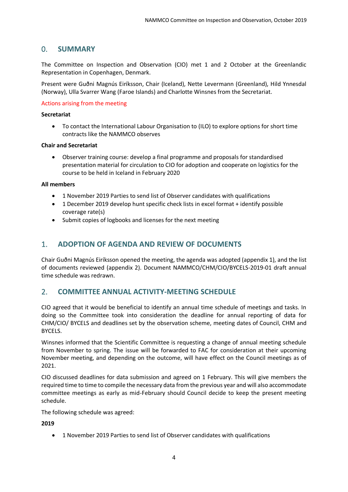## <span id="page-3-0"></span>0. **SUMMARY**

The Committee on Inspection and Observation (CIO) met 1 and 2 October at the Greenlandic Representation in Copenhagen, Denmark.

Present were Guðni Magnús Eiríksson, Chair (Iceland), Nette Levermann (Greenland), Hild Ynnesdal (Norway), Ulla Svarrer Wang (Faroe Islands) and Charlotte Winsnes from the Secretariat.

#### Actions arising from the meeting

#### **Secretariat**

• To contact the International Labour Organisation to (ILO) to explore options for short time contracts like the NAMMCO observes

#### **Chair and Secretariat**

• Observer training course: develop a final programme and proposals for standardised presentation material for circulation to CIO for adoption and cooperate on logistics for the course to be held in Iceland in February 2020

#### **All members**

- 1 November 2019 Parties to send list of Observer candidates with qualifications
- 1 December 2019 develop hunt specific check lists in excel format + identify possible coverage rate(s)
- Submit copies of logbooks and licenses for the next meeting

## <span id="page-3-1"></span>1. **ADOPTION OF AGENDA AND REVIEW OF DOCUMENTS**

Chair Guðni Magnús Eiríksson opened the meeting, the agenda was adopted (appendix 1), and the list of documents reviewed (appendix 2). Document NAMMCO/CHM/CIO/BYCELS-2019-01 draft annual time schedule was redrawn.

## <span id="page-3-2"></span>2. **COMMITTEE ANNUAL ACTIVITY-MEETING SCHEDULE**

CIO agreed that it would be beneficial to identify an annual time schedule of meetings and tasks. In doing so the Committee took into consideration the deadline for annual reporting of data for CHM/CIO/ BYCELS and deadlines set by the observation scheme, meeting dates of Council, CHM and BYCELS.

Winsnes informed that the Scientific Committee is requesting a change of annual meeting schedule from November to spring. The issue will be forwarded to FAC for consideration at their upcoming November meeting, and depending on the outcome, will have effect on the Council meetings as of 2021.

CIO discussed deadlines for data submission and agreed on 1 February. This will give members the required time to time to compile the necessary data from the previous year and will also accommodate committee meetings as early as mid-February should Council decide to keep the present meeting schedule.

The following schedule was agreed:

#### **2019**

• 1 November 2019 Parties to send list of Observer candidates with qualifications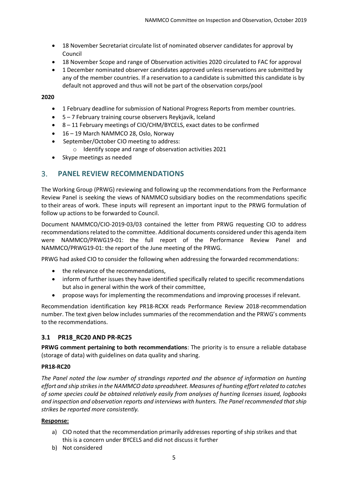- 18 November Secretariat circulate list of nominated observer candidates for approval by Council
- 18 November Scope and range of Observation activities 2020 circulated to FAC for approval
- 1 December nominated observer candidates approved unless reservations are submitted by any of the member countries. If a reservation to a candidate is submitted this candidate is by default not approved and thus will not be part of the observation corps/pool

**2020**

- 1 February deadline for submission of National Progress Reports from member countries.
- 5 7 February training course observers Reykjavik, Iceland
- 8 11 February meetings of CIO/CHM/BYCELS, exact dates to be confirmed
- 16 19 March NAMMCO 28, Oslo, Norway
- September/October CIO meeting to address:
	- o Identify scope and range of observation activities 2021
- Skype meetings as needed

#### <span id="page-4-0"></span>3. **PANEL REVIEW RECOMMENDATIONS**

The Working Group (PRWG) reviewing and following up the recommendations from the Performance Review Panel is seeking the views of NAMMCO subsidiary bodies on the recommendations specific to their areas of work. These inputs will represent an important input to the PRWG formulation of follow up actions to be forwarded to Council.

Document NAMMCO/CIO-2019-03/03 contained the letter from PRWG requesting CIO to address recommendations related to the committee. Additional documents considered under this agenda item were NAMMCO/PRWG19-01: the full report of the Performance Review Panel and NAMMCO/PRWG19-01: the report of the June meeting of the PRWG.

PRWG had asked CIO to consider the following when addressing the forwarded recommendations:

- the relevance of the recommendations,
- inform of further issues they have identified specifically related to specific recommendations but also in general within the work of their committee,
- propose ways for implementing the recommendations and improving processes if relevant.

Recommendation identification key PR18-RCXX reads Performance Review 2018-recommendation number. The text given below includes summaries of the recommendation and the PRWG's comments to the recommendations.

#### <span id="page-4-1"></span>**3.1 PR18\_RC20 AND PR-RC25**

**PRWG comment pertaining to both recommendations**: The priority is to ensure a reliable database (storage of data) with guidelines on data quality and sharing.

#### **PR18-RC20**

*The Panel noted the low number of strandings reported and the absence of information on hunting effort and ship strikes in the NAMMCO data spreadsheet. Measures of hunting effort related to catches of some species could be obtained relatively easily from analyses of hunting licenses issued, logbooks and inspection and observation reports and interviews with hunters. The Panel recommended that ship strikes be reported more consistently.*

#### **Response:**

- a) CIO noted that the recommendation primarily addresses reporting of ship strikes and that this is a concern under BYCELS and did not discuss it further
- b) Not considered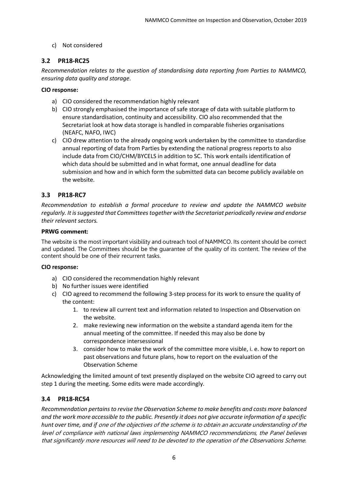#### c) Not considered

#### <span id="page-5-0"></span>**3.2 PR18-RC25**

*Recommendation relates to the question of standardising data reporting from Parties to NAMMCO, ensuring data quality and storage.* 

#### **CIO response:**

- a) CIO considered the recommendation highly relevant
- b) CIO strongly emphasised the importance of safe storage of data with suitable platform to ensure standardisation, continuity and accessibility. CIO also recommended that the Secretariat look at how data storage is handled in comparable fisheries organisations (NEAFC, NAFO, IWC)
- c) CIO drew attention to the already ongoing work undertaken by the committee to standardise annual reporting of data from Parties by extending the national progress reports to also include data from CIO/CHM/BYCELS in addition to SC. This work entails identification of which data should be submitted and in what format, one annual deadline for data submission and how and in which form the submitted data can become publicly available on the website.

#### <span id="page-5-1"></span>**3.3 PR18-RC7**

*Recommendation to establish a formal procedure to review and update the NAMMCO website regularly. It is suggested that Committees together with the Secretariat periodically review and endorse their relevant sectors.* 

#### **PRWG comment:**

The website is the most important visibility and outreach tool of NAMMCO. Its content should be correct and updated. The Committees should be the guarantee of the quality of its content. The review of the content should be one of their recurrent tasks.

#### **CIO response:**

- a) CIO considered the recommendation highly relevant
- b) No further issues were identified
- c) CIO agreed to recommend the following 3-step process for its work to ensure the quality of the content:
	- 1. to review all current text and information related to Inspection and Observation on the website.
	- 2. make reviewing new information on the website a standard agenda item for the annual meeting of the committee. If needed this may also be done by correspondence intersessional
	- 3. consider how to make the work of the committee more visible, i. e. how to report on past observations and future plans, how to report on the evaluation of the Observation Scheme

Acknowledging the limited amount of text presently displayed on the website CIO agreed to carry out step 1 during the meeting. Some edits were made accordingly.

#### <span id="page-5-2"></span>**3.4 PR18-RC54**

*Recommendation pertains to revise the Observation Scheme to make benefits and costs more balanced and the work more accessible to the public. Presently it does not give accurate information of a specific hunt over time, and if* one of the objectives of the scheme is to obtain an accurate understanding of the level of compliance with national laws implementing NAMMCO recommendations, the Panel believes that significantly more resources will need to be devoted to the operation of the Observations Scheme.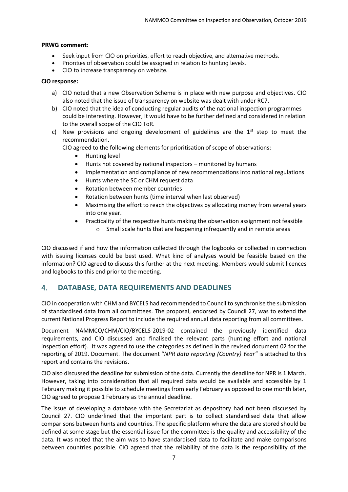#### **PRWG comment:**

- Seek input from CIO on priorities, effort to reach objective, and alternative methods.
- Priorities of observation could be assigned in relation to hunting levels.
- CIO to increase transparency on website.

#### **CIO response:**

- a) CIO noted that a new Observation Scheme is in place with new purpose and objectives. CIO also noted that the issue of transparency on website was dealt with under RC7.
- b) CIO noted that the idea of conducting regular audits of the national inspection programmes could be interesting. However, it would have to be further defined and considered in relation to the overall scope of the CIO ToR.
- c) New provisions and ongoing development of guidelines are the  $1<sup>st</sup>$  step to meet the recommendation.

CIO agreed to the following elements for prioritisation of scope of observations:

- Hunting level
- Hunts not covered by national inspectors monitored by humans
- Implementation and compliance of new recommendations into national regulations
- Hunts where the SC or CHM request data
- Rotation between member countries
- Rotation between hunts (time interval when last observed)
- Maximising the effort to reach the objectives by allocating money from several years into one year.
- Practicality of the respective hunts making the observation assignment not feasible
	- o Small scale hunts that are happening infrequently and in remote areas

CIO discussed if and how the information collected through the logbooks or collected in connection with issuing licenses could be best used. What kind of analyses would be feasible based on the information? CIO agreed to discuss this further at the next meeting. Members would submit licences and logbooks to this end prior to the meeting.

#### <span id="page-6-0"></span>4. **DATABASE, DATA REQUIREMENTS AND DEADLINES**

CIO in cooperation with CHM and BYCELS had recommended to Council to synchronise the submission of standardised data from all committees. The proposal, endorsed by Council 27, was to extend the current National Progress Report to include the required annual data reporting from all committees.

Document NAMMCO/CHM/CIO/BYCELS-2019-02 contained the previously identified data requirements, and CIO discussed and finalised the relevant parts (hunting effort and national inspection effort). It was agreed to use the categories as defined in the revised document 02 for the reporting of 2019. Document. The document "*NPR data reporting (Country) Year"* is attached to this report and contains the revisions.

CIO also discussed the deadline for submission of the data. Currently the deadline for NPR is 1 March. However, taking into consideration that all required data would be available and accessible by 1 February making it possible to schedule meetings from early February as opposed to one month later, CIO agreed to propose 1 February as the annual deadline.

The issue of developing a database with the Secretariat as depository had not been discussed by Council 27. CIO underlined that the important part is to collect standardised data that allow comparisons between hunts and countries. The specific platform where the data are stored should be defined at some stage but the essential issue for the committee is the quality and accessibility of the data. It was noted that the aim was to have standardised data to facilitate and make comparisons between countries possible. CIO agreed that the reliability of the data is the responsibility of the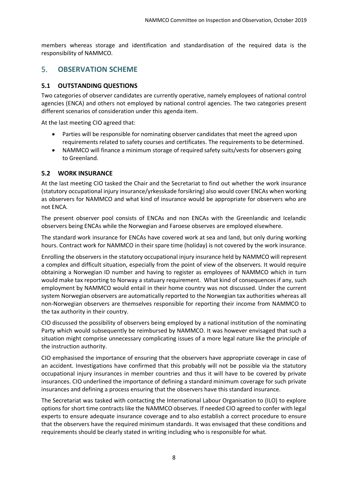members whereas storage and identification and standardisation of the required data is the responsibility of NAMMCO.

## <span id="page-7-0"></span>5. **OBSERVATION SCHEME**

#### <span id="page-7-1"></span>**5.1 OUTSTANDING QUESTIONS**

Two categories of observer candidates are currently operative, namely employees of national control agencies (ENCA) and others not employed by national control agencies. The two categories present different scenarios of consideration under this agenda item.

At the last meeting CIO agreed that:

- Parties will be responsible for nominating observer candidates that meet the agreed upon requirements related to safety courses and certificates. The requirements to be determined.
- NAMMCO will finance a minimum storage of required safety suits/vests for observers going to Greenland.

#### <span id="page-7-2"></span>**5.2 WORK INSURANCE**

At the last meeting CIO tasked the Chair and the Secretariat to find out whether the work insurance (statutory occupational injury insurance/yrkesskade forsikring) also would cover ENCAs when working as observers for NAMMCO and what kind of insurance would be appropriate for observers who are not ENCA.

The present observer pool consists of ENCAs and non ENCAs with the Greenlandic and Icelandic observers being ENCAs while the Norwegian and Faroese observes are employed elsewhere.

The standard work insurance for ENCAs have covered work at sea and land, but only during working hours. Contract work for NAMMCO in their spare time (holiday) is not covered by the work insurance.

Enrolling the observers in the statutory occupational injury insurance held by NAMMCO will represent a complex and difficult situation, especially from the point of view of the observers. It would require obtaining a Norwegian ID number and having to register as employees of NAMMCO which in turn would make tax reporting to Norway a statuary requirement. What kind of consequences if any, such employment by NAMMCO would entail in their home country was not discussed. Under the current system Norwegian observers are automatically reported to the Norwegian tax authorities whereas all non-Norwegian observers are themselves responsible for reporting their income from NAMMCO to the tax authority in their country.

CIO discussed the possibility of observers being employed by a national institution of the nominating Party which would subsequently be reimbursed by NAMMCO. It was however envisaged that such a situation might comprise unnecessary complicating issues of a more legal nature like the principle of the instruction authority.

CIO emphasised the importance of ensuring that the observers have appropriate coverage in case of an accident. Investigations have confirmed that this probably will not be possible via the statutory occupational injury insurances in member countries and thus it will have to be covered by private insurances. CIO underlined the importance of defining a standard minimum coverage for such private insurances and defining a process ensuring that the observers have this standard insurance.

The Secretariat was tasked with contacting the International Labour Organisation to (ILO) to explore options for short time contracts like the NAMMCO observes. If needed CIO agreed to confer with legal experts to ensure adequate insurance coverage and to also establish a correct procedure to ensure that the observers have the required minimum standards. It was envisaged that these conditions and requirements should be clearly stated in writing including who is responsible for what.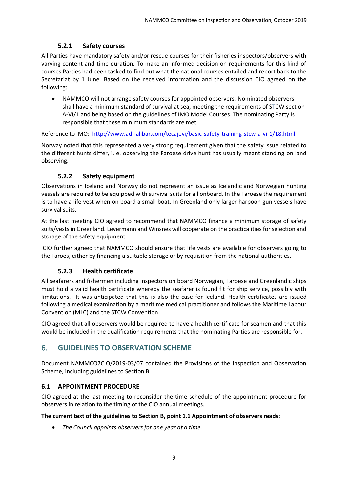#### **5.2.1 Safety courses**

<span id="page-8-0"></span>All Parties have mandatory safety and/or rescue courses for their fisheries inspectors/observers with varying content and time duration. To make an informed decision on requirements for this kind of courses Parties had been tasked to find out what the national courses entailed and report back to the Secretariat by 1 June. Based on the received information and the discussion CIO agreed on the following:

• NAMMCO will not arrange safety courses for appointed observers. Nominated observers shall have a minimum standard of survival at sea, meeting the requirements of STCW section A-VI/1 and being based on the guidelines of IMO Model Courses. The nominating Party is responsible that these minimum standards are met.

Reference to IMO: <http://www.adrialibar.com/tecajevi/basic-safety-training-stcw-a-vi-1/18.html>

Norway noted that this represented a very strong requirement given that the safety issue related to the different hunts differ, i. e. observing the Faroese drive hunt has usually meant standing on land observing.

#### **5.2.2 Safety equipment**

<span id="page-8-1"></span>Observations in Iceland and Norway do not represent an issue as Icelandic and Norwegian hunting vessels are required to be equipped with survival suits for all onboard. In the Faroese the requirement is to have a life vest when on board a small boat. In Greenland only larger harpoon gun vessels have survival suits.

At the last meeting CIO agreed to recommend that NAMMCO finance a minimum storage of safety suits/vests in Greenland. Levermann and Winsnes will cooperate on the practicalities for selection and storage of the safety equipment.

CIO further agreed that NAMMCO should ensure that life vests are available for observers going to the Faroes, either by financing a suitable storage or by requisition from the national authorities.

#### **5.2.3 Health certificate**

<span id="page-8-2"></span>All seafarers and fishermen including inspectors on board Norwegian, Faroese and Greenlandic ships must hold a valid health certificate whereby the seafarer is found fit for ship service, possibly with limitations. It was anticipated that this is also the case for Iceland. Health certificates are issued following a medical examination by a maritime medical practitioner and follows the Maritime Labour Convention (MLC) and the STCW Convention.

CIO agreed that all observers would be required to have a health certificate for seamen and that this would be included in the qualification requirements that the nominating Parties are responsible for.

## <span id="page-8-3"></span>6. **GUIDELINES TO OBSERVATION SCHEME**

Document NAMMCO7CIO/2019-03/07 contained the Provisions of the Inspection and Observation Scheme, including guidelines to Section B.

#### <span id="page-8-4"></span>**6.1 APPOINTMENT PROCEDURE**

CIO agreed at the last meeting to reconsider the time schedule of the appointment procedure for observers in relation to the timing of the CIO annual meetings.

#### **The current text of the guidelines to Section B, point 1.1 Appointment of observers reads:**

• *The Council appoints observers for one year at a time.*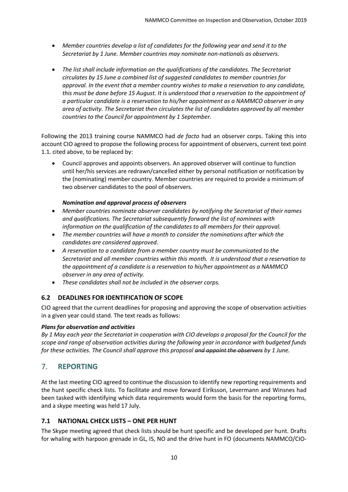- *Member countries develop a list of candidates for the following year and send it to the Secretariat by 1 June. Member countries may nominate non-nationals as observers.*
- *The list shall include information on the qualifications of the candidates. The Secretariat circulates by 15 June a combined list of suggested candidates to member countries for approval. In the event that a member country wishes to make a reservation to any candidate, this must be done before 15 August. It is understood that a reservation to the appointment of a particular candidate is a reservation to his/her appointment as a NAMMCO observer in any area of activity. The Secretariat then circulates the list of candidates approved by all member countries to the Council for appointment by 1 September.*

Following the 2013 training course NAMMCO had *de facto* had an observer corps. Taking this into account CIO agreed to propose the following process for appointment of observers, current text point 1.1. cited above, to be replaced by:

• Council approves and appoints observers. An approved observer will continue to function until her/his services are redrawn/cancelled either by personal notification or notification by the (nominating) member country. Member countries are required to provide a minimum of two observer candidates to the pool of observers.

#### *Nomination and approval process of observers*

- *Member countries nominate observer candidates by notifying the Secretariat of their names and qualifications. The Secretariat subsequently forward the list of nominees with information on the qualification of the candidates to all members for their approval.*
- *The member countries will have a month to consider the nominations after which the candidates are considered approved.*
- *A reservation to a candidate from a member country must be communicated to the Secretariat and all member countries within this month. It is understood that a reservation to the appointment of a candidate is a reservation to his/her appointment as a NAMMCO observer in any area of activity.*
- *These candidates shall not be included in the observer corps.*

#### <span id="page-9-0"></span>**6.2 DEADLINES FOR IDENTIFICATION OF SCOPE**

CIO agreed that the current deadlines for proposing and approving the scope of observation activities in a given year could stand. The text reads as follows:

#### *Plans for observation and activities*

*By 1 May each year the Secretariat in cooperation with CIO develops a proposal for the Council for the scope and range of observation activities during the following year in accordance with budgeted funds for these activities. The Council shall approve this proposal and appoint the observers by 1 June.*

## <span id="page-9-1"></span>7. **REPORTING**

At the last meeting CIO agreed to continue the discussion to identify new reporting requirements and the hunt specific check lists. To facilitate and move forward Eiríksson, Levermann and Winsnes had been tasked with identifying which data requirements would form the basis for the reporting forms, and a skype meeting was held 17 July.

#### <span id="page-9-2"></span>**7.1 NATIONAL CHECK LISTS – ONE PER HUNT**

The Skype meeting agreed that check lists should be hunt specific and be developed per hunt. Drafts for whaling with harpoon grenade in GL, IS, NO and the drive hunt in FO (documents NAMMCO/CIO-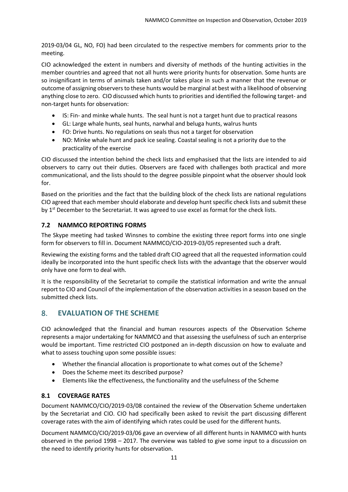2019-03/04 GL, NO, FO) had been circulated to the respective members for comments prior to the meeting.

CIO acknowledged the extent in numbers and diversity of methods of the hunting activities in the member countries and agreed that not all hunts were priority hunts for observation. Some hunts are so insignificant in terms of animals taken and/or takes place in such a manner that the revenue or outcome of assigning observers to these hunts would be marginal at best with a likelihood of observing anything close to zero. CIO discussed which hunts to priorities and identified the following target- and non-target hunts for observation:

- IS: Fin- and minke whale hunts. The seal hunt is not a target hunt due to practical reasons
- GL: Large whale hunts, seal hunts, narwhal and beluga hunts, walrus hunts
- FO: Drive hunts. No regulations on seals thus not a target for observation
- NO: Minke whale hunt and pack ice sealing. Coastal sealing is not a priority due to the practicality of the exercise

CIO discussed the intention behind the check lists and emphasised that the lists are intended to aid observers to carry out their duties. Observers are faced with challenges both practical and more communicational, and the lists should to the degree possible pinpoint what the observer should look for.

Based on the priorities and the fact that the building block of the check lists are national regulations CIO agreed that each member should elaborate and develop hunt specific check lists and submit these by 1<sup>st</sup> December to the Secretariat. It was agreed to use excel as format for the check lists.

#### <span id="page-10-0"></span>**7.2 NAMMCO REPORTING FORMS**

The Skype meeting had tasked Winsnes to combine the existing three report forms into one single form for observers to fill in. Document NAMMCO/CIO-2019-03/05 represented such a draft.

Reviewing the existing forms and the tabled draft CIO agreed that all the requested information could ideally be incorporated into the hunt specific check lists with the advantage that the observer would only have one form to deal with.

It is the responsibility of the Secretariat to compile the statistical information and write the annual report to CIO and Council of the implementation of the observation activities in a season based on the submitted check lists.

## <span id="page-10-1"></span>8. **EVALUATION OF THE SCHEME**

CIO acknowledged that the financial and human resources aspects of the Observation Scheme represents a major undertaking for NAMMCO and that assessing the usefulness of such an enterprise would be important. Time restricted CIO postponed an in-depth discussion on how to evaluate and what to assess touching upon some possible issues:

- Whether the financial allocation is proportionate to what comes out of the Scheme?
- Does the Scheme meet its described purpose?
- Elements like the effectiveness, the functionality and the usefulness of the Scheme

#### <span id="page-10-2"></span>**8.1 COVERAGE RATES**

Document NAMMCO/CIO/2019-03/08 contained the review of the Observation Scheme undertaken by the Secretariat and CIO. CIO had specifically been asked to revisit the part discussing different coverage rates with the aim of identifying which rates could be used for the different hunts.

Document NAMMCO/CIO/2019-03/06 gave an overview of all different hunts in NAMMCO with hunts observed in the period 1998 – 2017. The overview was tabled to give some input to a discussion on the need to identify priority hunts for observation.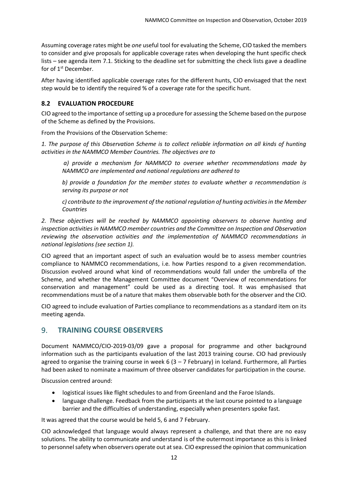Assuming coverage rates might be *one* useful tool for evaluating the Scheme, CIO tasked the members to consider and give proposals for applicable coverage rates when developing the hunt specific check lists – see agenda item 7.1. Sticking to the deadline set for submitting the check lists gave a deadline for of  $1<sup>st</sup>$  December.

After having identified applicable coverage rates for the different hunts, CIO envisaged that the next step would be to identify the required % of a coverage rate for the specific hunt.

## <span id="page-11-0"></span>**8.2 EVALUATION PROCEDURE**

CIO agreed to the importance of setting up a procedure for assessing the Scheme based on the purpose of the Scheme as defined by the Provisions.

From the Provisions of the Observation Scheme:

*1. The purpose of this Observation Scheme is to collect reliable information on all kinds of hunting activities in the NAMMCO Member Countries. The objectives are to*

*a) provide a mechanism for NAMMCO to oversee whether recommendations made by NAMMCO are implemented and national regulations are adhered to* 

*b) provide a foundation for the member states to evaluate whether a recommendation is serving its purpose or not* 

*c) contribute to the improvement of the national regulation of hunting activities in the Member Countries* 

*2. These objectives will be reached by NAMMCO appointing observers to observe hunting and inspection activities in NAMMCO member countries and the Committee on Inspection and Observation reviewing the observation activities and the implementation of NAMMCO recommendations in national legislations (see section 1).*

CIO agreed that an important aspect of such an evaluation would be to assess member countries compliance to NAMMCO recommendations, i.e. how Parties respond to a given recommendation. Discussion evolved around what kind of recommendations would fall under the umbrella of the Scheme, and whether the Management Committee document "Overview of recommendations for conservation and management" could be used as a directing tool. It was emphasised that recommendations must be of a nature that makes them observable both for the observer and the CIO.

CIO agreed to include evaluation of Parties compliance to recommendations as a standard item on its meeting agenda.

## <span id="page-11-1"></span>9. **TRAINING COURSE OBSERVERS**

Document NAMMCO/CIO-2019-03/09 gave a proposal for programme and other background information such as the participants evaluation of the last 2013 training course. CIO had previously agreed to organise the training course in week 6 (3 – 7 February) in Iceland. Furthermore, all Parties had been asked to nominate a maximum of three observer candidates for participation in the course.

Discussion centred around:

- logistical issues like flight schedules to and from Greenland and the Faroe Islands.
- language challenge. Feedback from the participants at the last course pointed to a language barrier and the difficulties of understanding, especially when presenters spoke fast.

It was agreed that the course would be held 5, 6 and 7 February.

CIO acknowledged that language would always represent a challenge, and that there are no easy solutions. The ability to communicate and understand is of the outermost importance as this is linked to personnel safety when observers operate out at sea. CIO expressed the opinion that communication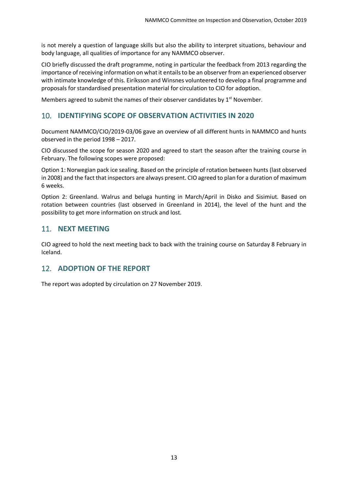is not merely a question of language skills but also the ability to interpret situations, behaviour and body language, all qualities of importance for any NAMMCO observer.

CIO briefly discussed the draft programme, noting in particular the feedback from 2013 regarding the importance of receiving information on what it entails to be an observer from an experienced observer with intimate knowledge of this. Eiríksson and Winsnes volunteered to develop a final programme and proposals for standardised presentation material for circulation to CIO for adoption.

Members agreed to submit the names of their observer candidates by  $1<sup>st</sup>$  November.

## <span id="page-12-0"></span>10. **IDENTIFYING SCOPE OF OBSERVATION ACTIVITIES IN 2020**

Document NAMMCO/CIO/2019-03/06 gave an overview of all different hunts in NAMMCO and hunts observed in the period 1998 – 2017.

CIO discussed the scope for season 2020 and agreed to start the season after the training course in February. The following scopes were proposed:

Option 1: Norwegian pack ice sealing. Based on the principle of rotation between hunts (last observed in 2008) and the fact that inspectors are always present. CIO agreed to plan for a duration of maximum 6 weeks.

Option 2: Greenland. Walrus and beluga hunting in March/April in Disko and Sisimiut. Based on rotation between countries (last observed in Greenland in 2014), the level of the hunt and the possibility to get more information on struck and lost.

## <span id="page-12-1"></span>11. **NEXT MEETING**

CIO agreed to hold the next meeting back to back with the training course on Saturday 8 February in Iceland.

## <span id="page-12-2"></span>12. **ADOPTION OF THE REPORT**

The report was adopted by circulation on 27 November 2019.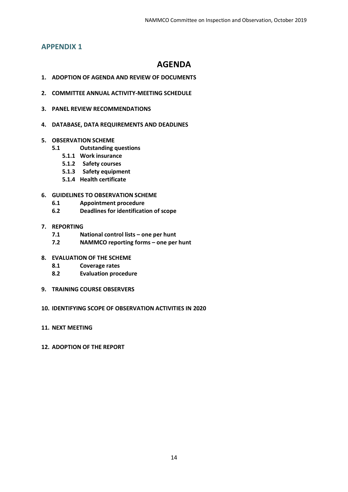## <span id="page-13-0"></span>**APPENDIX 1**

## **AGENDA**

- **1. ADOPTION OF AGENDA AND REVIEW OF DOCUMENTS**
- **2. COMMITTEE ANNUAL ACTIVITY-MEETING SCHEDULE**
- **3. PANEL REVIEW RECOMMENDATIONS**
- **4. DATABASE, DATA REQUIREMENTS AND DEADLINES**
- **5. OBSERVATION SCHEME** 
	- **5.1 Outstanding questions**
		- **5.1.1 Work insurance**
		- **5.1.2 Safety courses**
		- **5.1.3 Safety equipment**
		- **5.1.4 Health certificate**

#### **6. GUIDELINES TO OBSERVATION SCHEME**

- **6.1 Appointment procedure**
- **6.2 Deadlines for identification of scope**
- **7. REPORTING**
	- **7.1 National control lists – one per hunt**
	- **7.2 NAMMCO reporting forms – one per hunt**
- **8. EVALUATION OF THE SCHEME**
	- **8.1 Coverage rates**
	- **8.2 Evaluation procedure**
- **9. TRAINING COURSE OBSERVERS**

#### **10. IDENTIFYING SCOPE OF OBSERVATION ACTIVITIES IN 2020**

- **11. NEXT MEETING**
- **12. ADOPTION OF THE REPORT**